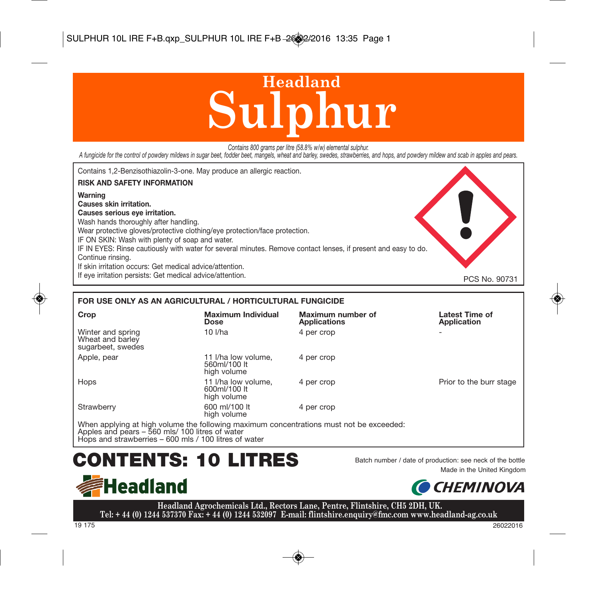# **Sulphur Headland**

*Contains 800 grams per litre (58.8% w/w) elemental sulphur.*

A fungicide for the control of powdery mildews in sugar beet, fodder beet, mangels, wheat and barley, swedes, strawberries, and hops, and powdery mildew and scab in apples and pears.



### **FOR USE ONLY AS AN AGRICULTURAL / HORTICULTURAL FUNGICIDE**

| Crop                                                       | <b>Maximum Individual</b><br><b>Dose</b>           | Maximum number of<br>Applications                                                                               | Latest Time of<br>Application |
|------------------------------------------------------------|----------------------------------------------------|-----------------------------------------------------------------------------------------------------------------|-------------------------------|
| Winter and spring<br>Wheat and barley<br>sugarbeet, swedes | 10 <i>Vha</i>                                      | 4 per crop                                                                                                      | -                             |
| Apple, pear                                                | 11 I/ha low volume.<br>560ml/100 lt<br>high volume | 4 per crop                                                                                                      |                               |
| Hops                                                       | 11 I/ha low volume.<br>600ml/100 lt<br>high volume | 4 per crop                                                                                                      | Prior to the burr stage       |
| Strawberry                                                 | 600 ml/100 lt<br>high volume                       | 4 per crop                                                                                                      |                               |
|                                                            |                                                    | AAR is a could do in Ethic (information of Harrison securities) and contractions served with barrists and state |                               |

When applying at high volume the following maximum concentrations must not be exceeded:<br>Apples and pears – 560 mls/ 100 litres of water<br>Hops and strawberries – 600 mls / 100 litres of water

## CONTENTS: 10 LITRES Batch number / date of production: see neck of the bottle







**Headland Agrochemicals Ltd., Rectors Lane, Pentre, Flintshire, CH5 2DH, UK. Tel: + 44 (0) 1244 537370 Fax: + 44 (0) 1244 532097 E-mail: flintshire.enquiry@fmc.com www.headland-ag.co.uk**

19 175 26022016